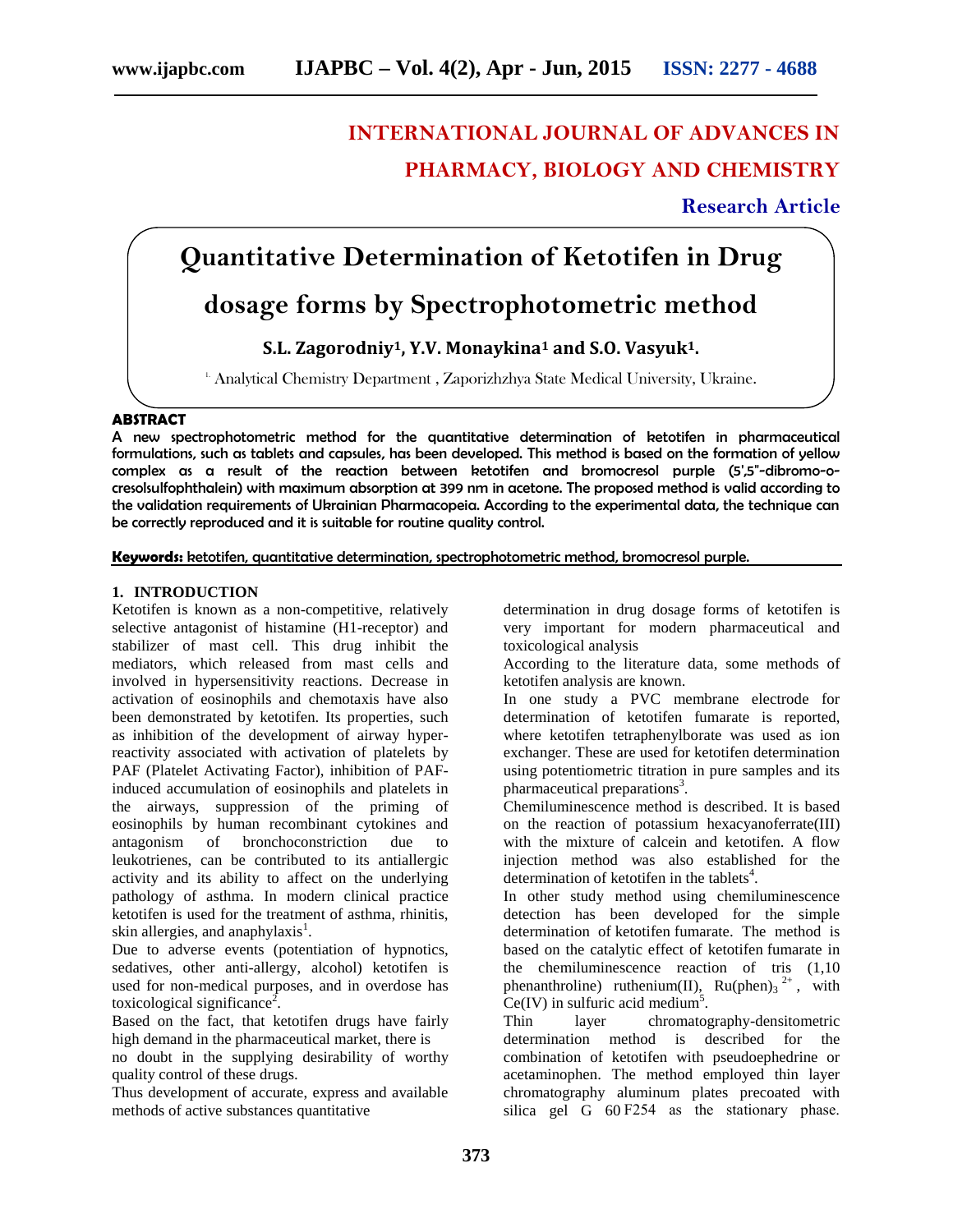# **INTERNATIONAL JOURNAL OF ADVANCES IN PHARMACY, BIOLOGY AND CHEMISTRY**

# **Research Article**

# **Quantitative Determination of Ketotifen in Drug**

# **dosage forms by Spectrophotometric method**

# **S.L. Zagorodniy1, Y.V. Monaykina<sup>1</sup> and S.O. Vasyuk1.**

<sup>1.</sup> Analytical Chemistry Department , Zaporizhzhya State Medical University, Ukraine.

# **ABSTRACT**

A new spectrophotometric method for the quantitative determination of ketotifen in pharmaceutical formulations, such as tablets and capsules, has been developed. This method is based on the formation of yellow complex as a result of the reaction between ketotifen and bromocresol purple (5',5"-dibromo-o cresolsulfophthalein) with maximum absorption at 399 nm in acetone. The proposed method is valid according to the validation requirements of Ukrainian Pharmacopeia. According to the experimental data, the technique can be correctly reproduced and it is suitable for routine quality control.

## **Keywords:** ketotifen, quantitative determination, spectrophotometric method, bromocresol purple.

### **1. INTRODUCTION**

Ketotifen is known as a non-competitive, relatively selective antagonist of histamine (H1-receptor) and stabilizer of mast cell. This drug inhibit the mediators, which released from mast cells and involved in hypersensitivity reactions. Decrease in activation of eosinophils and chemotaxis have also been demonstrated by ketotifen. Its properties, such as inhibition of the development of airway hyperreactivity associated with activation of platelets by PAF (Platelet Activating Factor), inhibition of PAFinduced accumulation of eosinophils and platelets in the airways, suppression of the priming of eosinophils by human recombinant cytokines and antagonism of bronchoconstriction due to leukotrienes, can be contributed to its antiallergic activity and its ability to affect on the underlying pathology of asthma. In modern clinical practice ketotifen is used for the treatment of asthma, rhinitis, skin allergies, and anaphylaxis $^1$ .

Due to adverse events (potentiation of hypnotics, sedatives, other anti-allergy, alcohol) ketotifen is used for non-medical purposes, and in overdose has toxicological significance<sup>2</sup>.

Based on the fact, that ketotifen drugs have fairly high demand in the pharmaceutical market, there is no doubt in the supplying desirability of worthy quality control of these drugs.

Thus development of accurate, express and available methods of active substances quantitative

determination in drug dosage forms of ketotifen is very important for modern pharmaceutical and toxicological analysis

According to the literature data, some methods of ketotifen analysis are known.

In one study a PVC membrane electrode for determination of ketotifen fumarate is reported, where ketotifen tetraphenylborate was used as ion exchanger. These are used for ketotifen determination using potentiometric titration in pure samples and its pharmaceutical preparations<sup>3</sup>.

Chemiluminescence method is described. It is based on the reaction of potassium hexacyanoferrate(III) with the mixture of calcein and ketotifen. A flow injection method was also established for the determination of ketotifen in the tablets<sup>4</sup>.

In other study method using chemiluminescence detection has been developed for the simple determination of ketotifen fumarate. The method is based on the catalytic effect of ketotifen fumarate in the chemiluminescence reaction of tris (1,10 phenanthroline) ruthenium(II),  $Ru(phen)_3^{2+}$ , with  $Ce(IV)$  in sulfuric acid medium<sup>5</sup>.

layer chromatography-densitometric determination method is described for the combination of ketotifen with pseudoephedrine or acetaminophen. The method employed thin layer chromatography aluminum plates precoated with silica gel G 60 F254 as the stationary phase.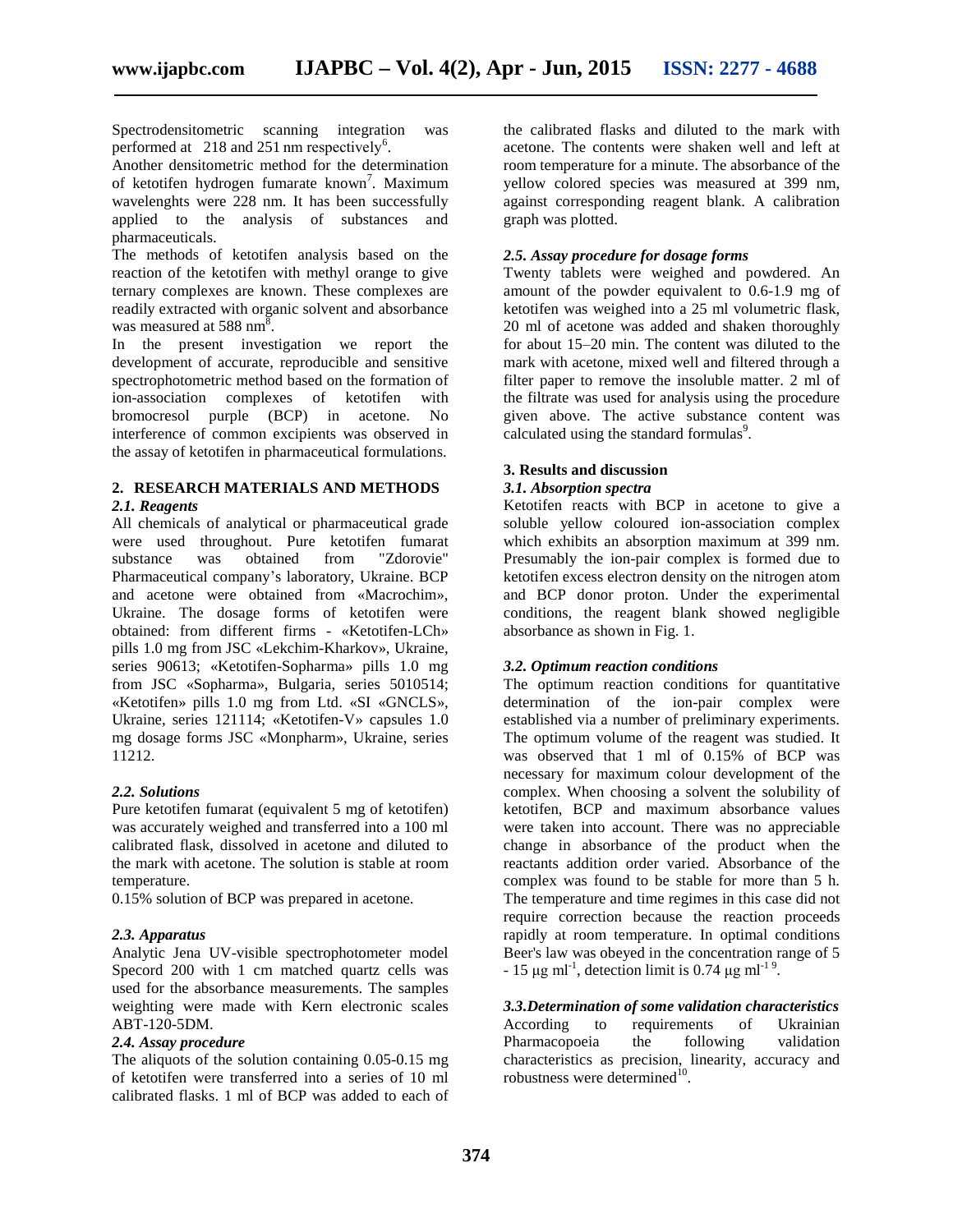Spectrodensitometric scanning integration was performed at 218 and 251 nm respectively<sup>6</sup>.

Another densitometric method for the determination of ketotifen hydrogen fumarate known<sup>7</sup>. Maximum yello wavelenghts were 228 nm. It has been successfully applied to the analysis of substances and pharmaceuticals.

The methods of ketotifen analysis based on the reaction of the ketotifen with methyl orange to give ternary complexes are known. These complexes are readily extracted with organic solvent and absorbance was measured at 588 nm<sup>8</sup>.

In the present investigation we report the development of accurate, reproducible and sensitive spectrophotometric method based on the formation of ion-association complexes of ketotifen with bromocresol purple (BCP) in acetone. No interference of common excipients was observed in the assay of ketotifen in pharmaceutical formulations.

#### **2. RESEARCH MATERIALS AND METHODS** *2.1. Reagents*

All chemicals of analytical or pharmaceutical grade were used throughout. Pure ketotifen fumarat substance was obtained from "Zdorovie" Pharmaceutical company's laboratory, Ukraine. BCP and acetone were obtained from «Macrochim», Ukraine. The dosage forms of ketotifen were obtained: from different firms - «Ketotifen-LCh» pills 1.0 mg from JSC «Lekchim-Kharkov», Ukraine, series 90613; «Ketotifen-Sopharma» pills 1.0 mg from JSC «Sopharma», Bulgaria, series 5010514; «Ketotifen» pills 1.0 mg from Ltd. «SI «GNCLS», Ukraine, series 121114; «Ketotifen-V» capsules 1.0 mg dosage forms JSC «Monpharm», Ukraine, series 11212.

# *2.2. Solutions*

Pure ketotifen fumarat (equivalent 5 mg of ketotifen) was accurately weighed and transferred into a 100 ml calibrated flask, dissolved in acetone and diluted to the mark with acetone. The solution is stable at room temperature.

0.15% solution of BCP was prepared in acetone.

### *2.3. Apparatus*

Analytic Jena UV-visible spectrophotometer model Specord 200 with 1 cm matched quartz cells was used for the absorbance measurements. The samples weighting were made with Kern electronic scales ABT-120-5DM.

## *2.4. Assay procedure*

The aliquots of the solution containing 0.05-0.15 mg of ketotifen were transferred into a series of 10 ml calibrated flasks. 1 ml of BCP was added to each of

the calibrated flasks and diluted to the mark with acetone. The contents were shaken well and left at room temperature for a minute. The absorbance of the yellow colored species was measured at 399 nm, against corresponding reagent blank. A calibration graph was plotted.

# *2.5. Assay procedure for dosage forms*

Twenty tablets were weighed and powdered. An amount of the powder equivalent to 0.6-1.9 mg of ketotifen was weighed into a 25 ml volumetric flask, 20 ml of acetone was added and shaken thoroughly for about 15–20 min. The content was diluted to the mark with acetone, mixed well and filtered through a filter paper to remove the insoluble matter. 2 ml of the filtrate was used for analysis using the procedure given above. The active substance content was calculated using the standard formulas $\degree$ .

# **3. Results and discussion**

### *3.1. Absorption spectra*

Ketotifen reacts with BCP in acetone to give a soluble yellow coloured ion-association complex which exhibits an absorption maximum at 399 nm. Presumably the ion-pair complex is formed due to ketotifen excess electron density on the nitrogen atom and BCP donor proton. Under the experimental conditions, the reagent blank showed negligible absorbance as shown in Fig. 1.

### *3.2. Optimum reaction conditions*

The optimum reaction conditions for quantitative determination of the ion-pair complex were established via a number of preliminary experiments. The optimum volume of the reagent was studied. It was observed that 1 ml of 0.15% of BCP was necessary for maximum colour development of the complex. When choosing a solvent the solubility of ketotifen, BCP and maximum absorbance values were taken into account. There was no appreciable change in absorbance of the product when the reactants addition order varied. Absorbance of the complex was found to be stable for more than 5 h. The temperature and time regimes in this case did not require correction because the reaction proceeds rapidly at room temperature. In optimal conditions Beer's law was obeyed in the concentration range of 5  $-15 \mu g$  ml<sup>-1</sup>, detection limit is 0.74  $\mu g$  ml<sup>-19</sup>.

*3.3.Determination of some validation characteristics* According to requirements of Ukrainian Pharmacopoeia the following validation characteristics as precision, linearity, accuracy and robustness were determined $10$ .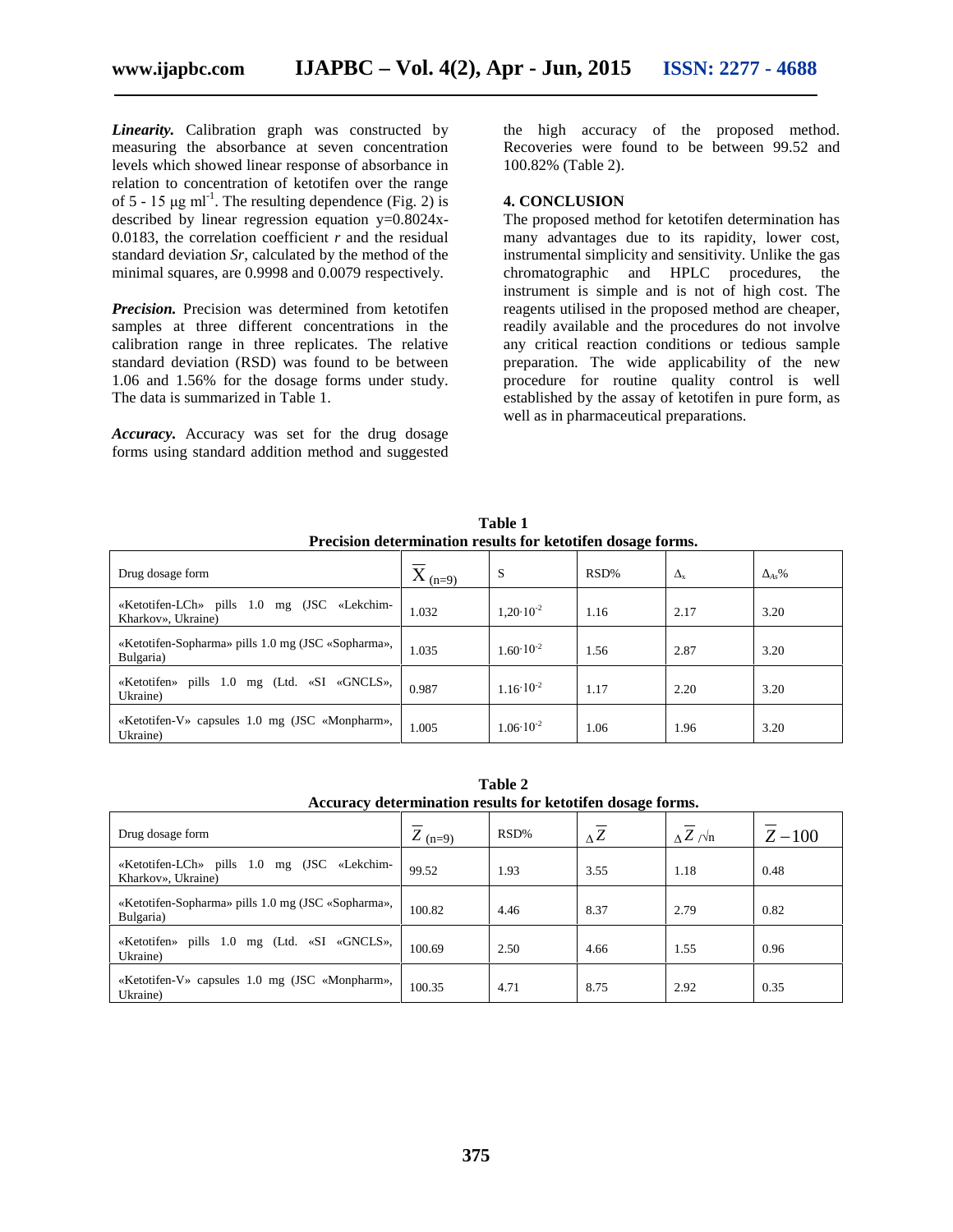*Linearity.* Calibration graph was constructed by measuring the absorbance at seven concentration levels which showed linear response of absorbance in relation to concentration of ketotifen over the range of 5 - 15  $\mu$ g ml<sup>-1</sup>. The resulting dependence (Fig. 2) is described by linear regression equation  $y=0.8024x$ -0.0183, the correlation coefficient  $r$  and the residual standard deviation *Sr*, calculated by the method of the minimal squares, are 0.9998 and 0.0079 respectively.

*Precision.* Precision was determined from ketotifen samples at three different concentrations in the calibration range in three replicates. The relative standard deviation (RSD) was found to be between 1.06 and 1.56% for the dosage forms under study. The data is summarized in Table 1.

*Accuracy.* Accuracy was set for the drug dosage forms using standard addition method and suggested

the high accuracy of the proposed method. Recoveries were found to be between 99.52 and 100.82% (Table 2).

#### **4. CONCLUSION**

The proposed method for ketotifen determination has many advantages due to its rapidity, lower cost, instrumental simplicity and sensitivity. Unlike the gas chromatographic and HPLC procedures, the instrument is simple and is not of high cost. The reagents utilised in the proposed method are cheaper, readily available and the procedures do not involve any critical reaction conditions or tedious sample preparation. The wide applicability of the new procedure for routine quality control is well established by the assay of ketotifen in pure form, as well as in pharmaceutical preparations.

**Table 1 Precision determination results for ketotifen dosage forms.**

|                                                                            |             |                      | $\tilde{}$ |                  |        |
|----------------------------------------------------------------------------|-------------|----------------------|------------|------------------|--------|
| Drug dosage form                                                           | $X_{(n=9)}$ | S                    | RSD%       | $\Delta_{\rm x}$ | $As\%$ |
| 1.0<br>(JSC «Lekchim-<br>«Ketotifen-LCh» pills<br>mg<br>Kharkov», Ukraine) | 1.032       | $1.20 \cdot 10^{-2}$ | 1.16       | 2.17             | 3.20   |
| «Ketotifen-Sopharma» pills 1.0 mg (JSC «Sopharma»,<br>Bulgaria)            | 1.035       | $1.60 \cdot 10^{-2}$ | 1.56       | 2.87             | 3.20   |
| «Ketotifen»<br>pills $1.0$<br>(Ltd. «SI<br>«GNCLS».<br>mg<br>Ukraine)      | 0.987       | $1.16 \cdot 10^{-2}$ | 1.17       | 2.20             | 3.20   |
| «Ketotifen-V» capsules 1.0 mg (JSC «Monpharm»,<br>Ukraine)                 | 1.005       | $1.06 \cdot 10^{-2}$ | 1.06       | 1.96             | 3.20   |

| rapie 2                                                           |           |      |            |                       |         |  |  |  |
|-------------------------------------------------------------------|-----------|------|------------|-----------------------|---------|--|--|--|
| Accuracy determination results for ketotifen dosage forms.        |           |      |            |                       |         |  |  |  |
| Drug dosage form                                                  | $Z$ (n=9) | RSD% | $\Delta Z$ | $\Delta Z / \sqrt{n}$ | $Z-100$ |  |  |  |
| «Ketotifen-LCh» pills 1.0 mg (JSC «Lekchim-<br>Kharkov», Ukraine) | 99.52     | 1.93 | 3.55       | 1.18                  | 0.48    |  |  |  |
| «Ketotifen-Sopharma» pills 1.0 mg (JSC «Sopharma»,<br>Bulgaria)   | 100.82    | 4.46 | 8.37       | 2.79                  | 0.82    |  |  |  |
| «Ketotifen» pills 1.0 mg (Ltd. «SI «GNCLS»,<br>Ukraine)           | 100.69    | 2.50 | 4.66       | 1.55                  | 0.96    |  |  |  |
| «Ketotifen-V» capsules 1.0 mg (JSC «Monpharm»,<br>Ukraine)        | 100.35    | 4.71 | 8.75       | 2.92                  | 0.35    |  |  |  |

**Table 2**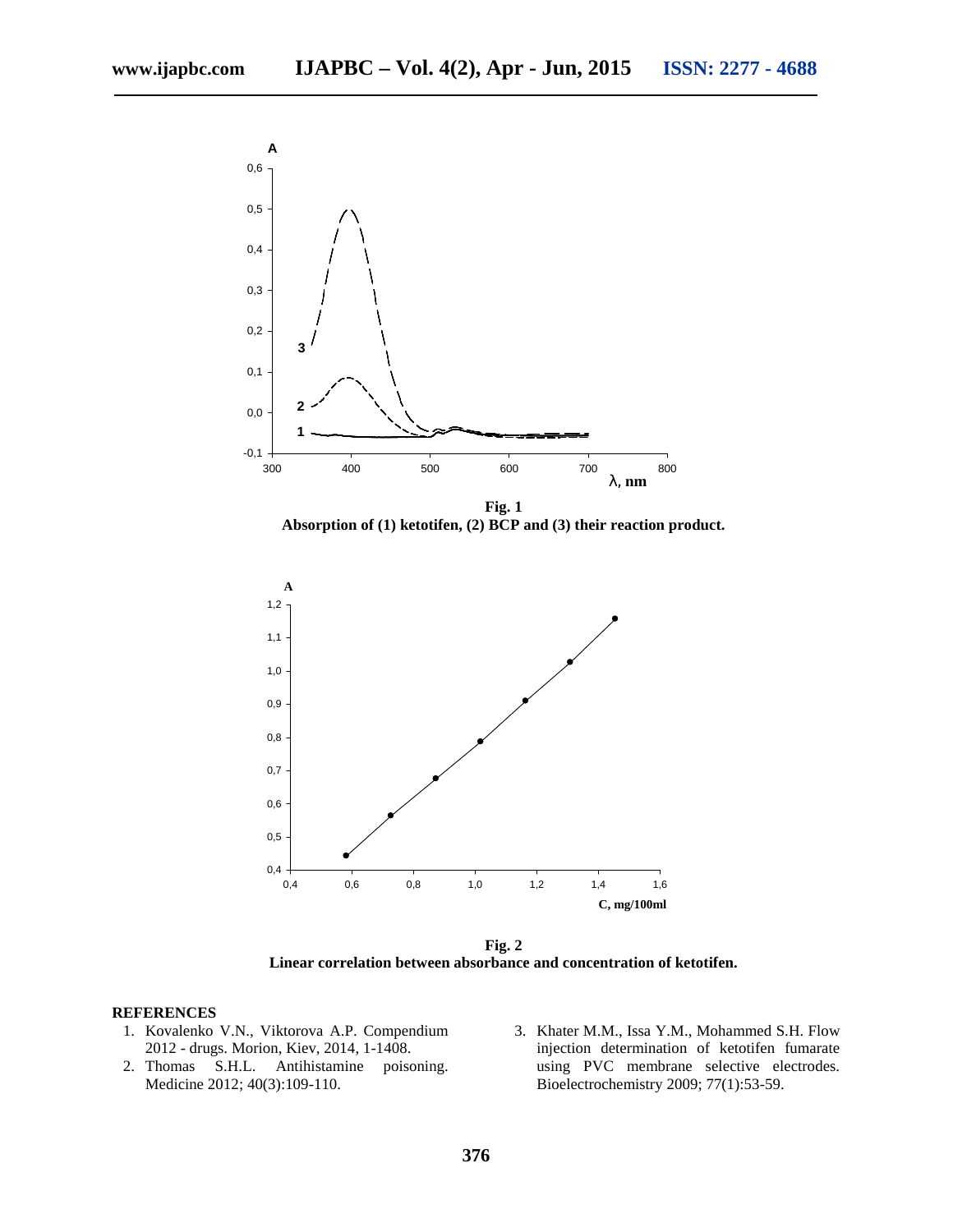

**Absorption of (1) ketotifen, (2) BCP and (3) their reaction product.**



**Fig. 2 Linear correlation between absorbance and concentration of ketotifen.**

### **REFERENCES**

- 1. Kovalenko V.N., Viktorova A.P. Compendium 2012 - drugs. Morion, Kiev, 2014, 1-1408.
- 2. Thomas S.H.L. Antihistamine poisoning. Medicine 2012; 40(3):109-110.
- 3. Khater M.M., Issa Y.M., Mohammed S.H. Flow injection determination of ketotifen fumarate using PVC membrane selective electrodes. Bioelectrochemistry 2009; 77(1):53-59.